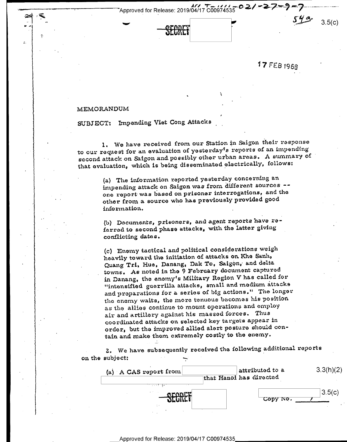

17 FEB 1968

 $3.5(c)$ 

## MEMORANDUM

90-4' D »§;

. 'T

SUBJECT: Impending Viet Cong Attacks

1. We have received from our Station in Saigon their response to our request for an evaluation of yesterday's reports of an impending second attack on Saigon and possibly other urban areas. A summary of that evaluation, which is being disseminated electrically, follows:

 $\ddot{\phantom{0}}$ 

ı.

(a) The information reported yesterday concerning an impending attack on Saigon was from different sources -one report was based on. prisoner interrogations, and the other from a. source who has previously provided good information.

(b) Documents, prisoners, and agent reports have reierrecl to second phase attacks, with the latter giving conflicting dates.

(c) Enemy tactical and political considerations weigh heavily toward the initiation of attacks on Khe Sanh, Quang Tri, Hue, Danang, Dak To, Saigon, and delta towns. As noted in the 9 February document captured in Danang, the enemy's Military Region V has called for "intensified guerrilla attacks, small and medium attacks and preparations for a series of big actions." The longer the enemy waits, the more tenuous becomes his position as the allies continue to mount operations and employ air and artillery against his massed forces. Thus coordinated attacks on selected key targets appear in order, but the improved allied alert posture should contain and make them extremely costly to the enemy.

 $2.$  We have subsequently received the following additional reports on the subject: -.\_..-

| (a) A CAS report from                        | attributed to a<br>that Hanoi has directed | 3.3(h)(2) |
|----------------------------------------------|--------------------------------------------|-----------|
| アーフェッチ パン<br>$\sim$ $\sim$<br><u> Stabet</u> | Copy No.                                   | 3.5(c)    |